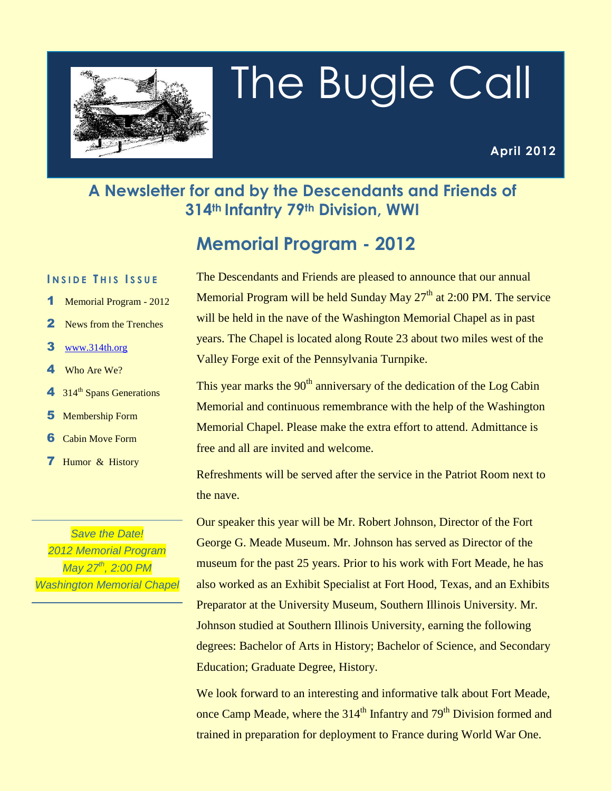

# The Bugle Call

#### **A Newsletter for and by the Descendants and Friends of 314th Infantry 79th Division, WWI**

# **Memorial Program - 2012**

#### **I N S I D E T H I S I S S U E**

- 1 Memorial Program 2012
- 2 News from the Trenches
- **3** [www.314th.org](http://www.314th.org/)
- 4 Who Are We?
- $4 \cdot 314$ <sup>th</sup> Spans Generations
- 5 Membership Form
- 6 Cabin Move Form
- 7 Humor & History

*Save the Date! 2012 Memorial Program May 27th, 2:00 PM Washington Memorial Chapel* The Descendants and Friends are pleased to announce that our annual Memorial Program will be held Sunday May  $27<sup>th</sup>$  at 2:00 PM. The service will be held in the nave of the Washington Memorial Chapel as in past years. The Chapel is located along Route 23 about two miles west of the Valley Forge exit of the Pennsylvania Turnpike.

This year marks the  $90<sup>th</sup>$  anniversary of the dedication of the Log Cabin Memorial and continuous remembrance with the help of the Washington Memorial Chapel. Please make the extra effort to attend. Admittance is free and all are invited and welcome.

Refreshments will be served after the service in the Patriot Room next to the nave.

Our speaker this year will be Mr. Robert Johnson, Director of the Fort George G. Meade Museum. Mr. Johnson has served as Director of the museum for the past 25 years. Prior to his work with Fort Meade, he has also worked as an Exhibit Specialist at Fort Hood, Texas, and an Exhibits Preparator at the University Museum, Southern Illinois University. Mr. Johnson studied at Southern Illinois University, earning the following degrees: Bachelor of Arts in History; Bachelor of Science, and Secondary Education; Graduate Degree, History.

We look forward to an interesting and informative talk about Fort Meade, once Camp Meade, where the 314<sup>th</sup> Infantry and 79<sup>th</sup> Division formed and trained in preparation for deployment to France during World War One.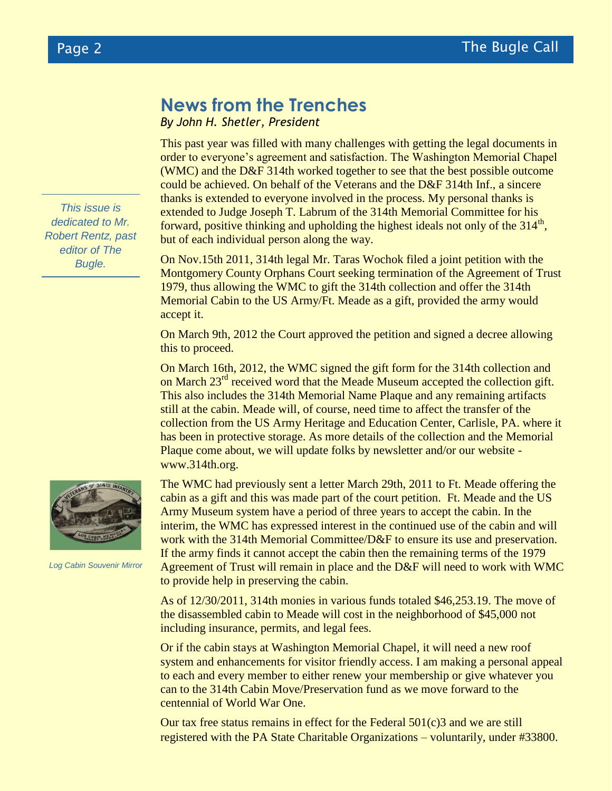#### **News from the Trenches**

*By John H. Shetler, President*

This past year was filled with many challenges with getting the legal documents in order to everyone's agreement and satisfaction. The Washington Memorial Chapel (WMC) and the D&F 314th worked together to see that the best possible outcome could be achieved. On behalf of the Veterans and the D&F 314th Inf., a sincere thanks is extended to everyone involved in the process. My personal thanks is extended to Judge Joseph T. Labrum of the 314th Memorial Committee for his forward, positive thinking and upholding the highest ideals not only of the  $314<sup>th</sup>$ , but of each individual person along the way.

On Nov.15th 2011, 314th legal Mr. Taras Wochok filed a joint petition with the Montgomery County Orphans Court seeking termination of the Agreement of Trust 1979, thus allowing the WMC to gift the 314th collection and offer the 314th Memorial Cabin to the US Army/Ft. Meade as a gift, provided the army would accept it.

On March 9th, 2012 the Court approved the petition and signed a decree allowing this to proceed.

On March 16th, 2012, the WMC signed the gift form for the 314th collection and on March 23<sup>rd</sup> received word that the Meade Museum accepted the collection gift. This also includes the 314th Memorial Name Plaque and any remaining artifacts still at the cabin. Meade will, of course, need time to affect the transfer of the collection from the US Army Heritage and Education Center, Carlisle, PA. where it has been in protective storage. As more details of the collection and the Memorial Plaque come about, we will update folks by newsletter and/or our website www.314th.org.



*Log Cabin Souvenir Mirror*

The WMC had previously sent a letter March 29th, 2011 to Ft. Meade offering the cabin as a gift and this was made part of the court petition. Ft. Meade and the US Army Museum system have a period of three years to accept the cabin. In the interim, the WMC has expressed interest in the continued use of the cabin and will work with the 314th Memorial Committee/D&F to ensure its use and preservation. If the army finds it cannot accept the cabin then the remaining terms of the 1979 Agreement of Trust will remain in place and the D&F will need to work with WMC to provide help in preserving the cabin.

As of 12/30/2011, 314th monies in various funds totaled \$46,253.19. The move of the disassembled cabin to Meade will cost in the neighborhood of \$45,000 not including insurance, permits, and legal fees.

Or if the cabin stays at Washington Memorial Chapel, it will need a new roof system and enhancements for visitor friendly access. I am making a personal appeal to each and every member to either renew your membership or give whatever you can to the 314th Cabin Move/Preservation fund as we move forward to the centennial of World War One.

Our tax free status remains in effect for the Federal  $501(c)3$  and we are still registered with the PA State Charitable Organizations – voluntarily, under #33800.

*This issue is dedicated to Mr. Robert Rentz, past editor of The Bugle.*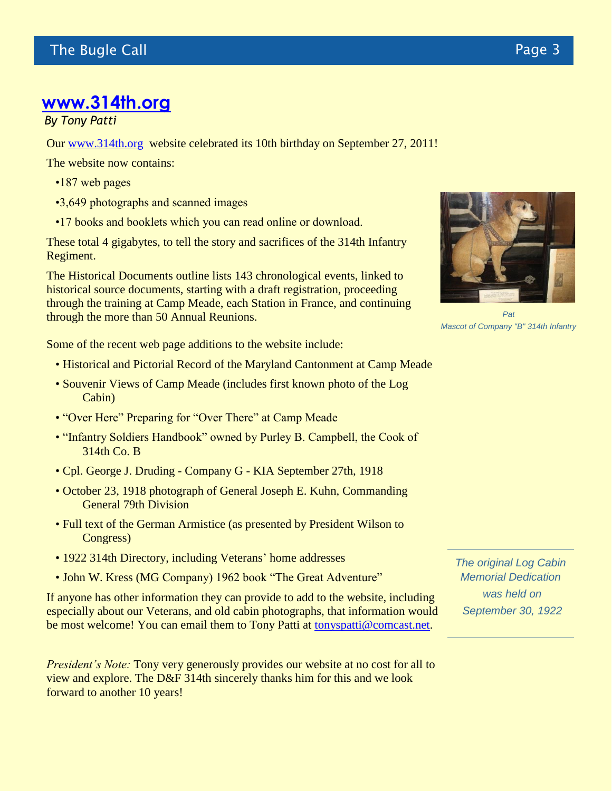## **[www.314th.org](http://www.314th.org/)**

*By Tony Patti*

Our [www.314th.org](http://www.314th.org/) website celebrated its 10th birthday on September 27, 2011!

The website now contains:

- •187 web pages
- •3,649 photographs and scanned images
- •17 books and booklets which you can read online or download.

These total 4 gigabytes, to tell the story and sacrifices of the 314th Infantry Regiment.

The Historical Documents outline lists 143 chronological events, linked to historical source documents, starting with a draft registration, proceeding through the training at Camp Meade, each Station in France, and continuing through the more than 50 Annual Reunions.



*Pat Mascot of Company "B" 314th Infantry*

Some of the recent web page additions to the website include:

- Historical and Pictorial Record of the Maryland Cantonment at Camp Meade
- Souvenir Views of Camp Meade (includes first known photo of the Log Cabin)
- "Over Here" Preparing for "Over There" at Camp Meade
- "Infantry Soldiers Handbook" owned by Purley B. Campbell, the Cook of 314th Co. B
- Cpl. George J. Druding Company G KIA September 27th, 1918
- October 23, 1918 photograph of General Joseph E. Kuhn, Commanding General 79th Division
- Full text of the German Armistice (as presented by President Wilson to Congress)
- 1922 314th Directory, including Veterans' home addresses
- John W. Kress (MG Company) 1962 book "The Great Adventure"

If anyone has other information they can provide to add to the website, including especially about our Veterans, and old cabin photographs, that information would be most welcome! You can email them to Tony Patti at [tonyspatti@comcast.net.](mailto:tonyspatti@comcast.net)

*President's Note:* Tony very generously provides our website at no cost for all to view and explore. The D&F 314th sincerely thanks him for this and we look forward to another 10 years!

*The original Log Cabin Memorial Dedication was held on September 30, 1922*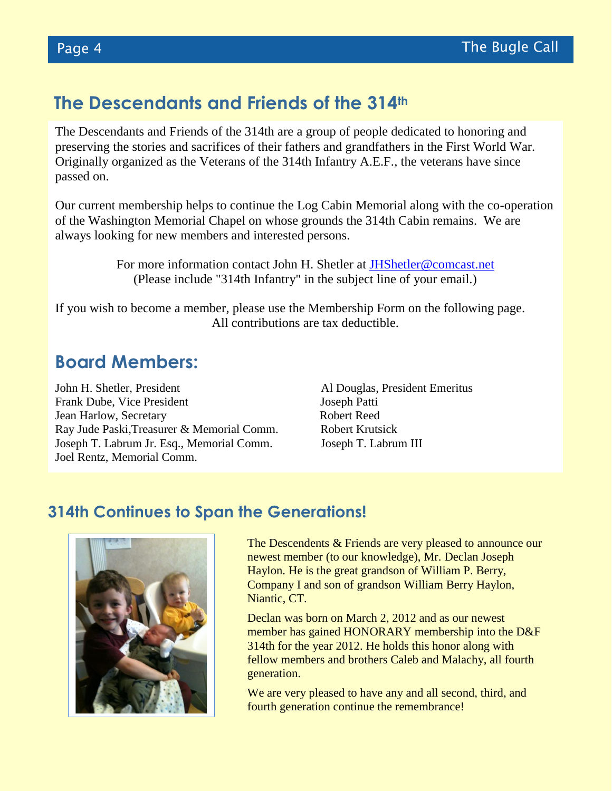#### **The Descendants and Friends of the 314th**

The Descendants and Friends of the 314th are a group of people dedicated to honoring and preserving the stories and sacrifices of their fathers and grandfathers in the First World War. Originally organized as the Veterans of the 314th Infantry A.E.F., the veterans have since passed on.

Our current membership helps to continue the Log Cabin Memorial along with the co-operation of the Washington Memorial Chapel on whose grounds the 314th Cabin remains. We are always looking for new members and interested persons.

> For more information contact John H. Shetler at [JHShetler@comcast.net](mailto:JHShetler@comcast.net) (Please include "314th Infantry" in the subject line of your email.)

If you wish to become a member, please use the Membership Form on the following page. All contributions are tax deductible.

#### **Board Members:**

John H. Shetler, President Al Douglas, President Emeritus Frank Dube, Vice President Joseph Patti **Jean Harlow, Secretary Robert Reed** Ray Jude Paski, Treasurer & Memorial Comm. Robert Krutsick Joseph T. Labrum Jr. Esq., Memorial Comm. Joseph T. Labrum III Joel Rentz, Memorial Comm.

#### **314th Continues to Span the Generations!**



The Descendents & Friends are very pleased to announce our newest member (to our knowledge), Mr. Declan Joseph Haylon. He is the great grandson of William P. Berry, Company I and son of grandson William Berry Haylon, Niantic, CT.

Declan was born on March 2, 2012 and as our newest member has gained HONORARY membership into the D&F 314th for the year 2012. He holds this honor along with fellow members and brothers Caleb and Malachy, all fourth generation.

We are very pleased to have any and all second, third, and fourth generation continue the remembrance!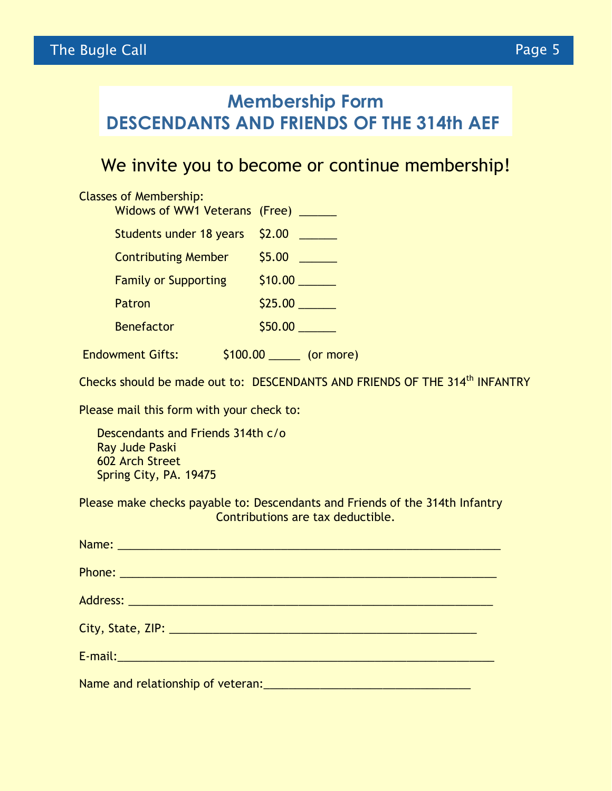# **Membership Form DESCENDANTS AND FRIENDS OF THE 314th AEF**

## We invite you to become or continue membership!

# Classes of Membership: Widows of WW1 Veterans (Free) \_\_\_\_\_ Students under 18 years \$2.00 \_\_\_\_\_ Contributing Member \$5.00 \_\_\_\_\_\_ Family or Supporting \$10.00 \_\_\_\_\_\_ Patron \$25.00 \_\_\_\_\_\_ Benefactor \$50.00 \_\_\_\_\_\_ Endowment Gifts:  $$100.00$  (or more)

Checks should be made out to: DESCENDANTS AND FRIENDS OF THE 314<sup>th</sup> INFANTRY

Please mail this form with your check to:

 Descendants and Friends 314th c/o Ray Jude Paski 602 Arch Street Spring City, PA. 19475

Please make checks payable to: Descendants and Friends of the 314th Infantry Contributions are tax deductible.

| Name: Name and the state of the state of the state of the state of the state of the state of the state of the  |  |
|----------------------------------------------------------------------------------------------------------------|--|
|                                                                                                                |  |
|                                                                                                                |  |
|                                                                                                                |  |
| E-mail: enterprise and a series of the series of the series of the series of the series of the series of the s |  |
|                                                                                                                |  |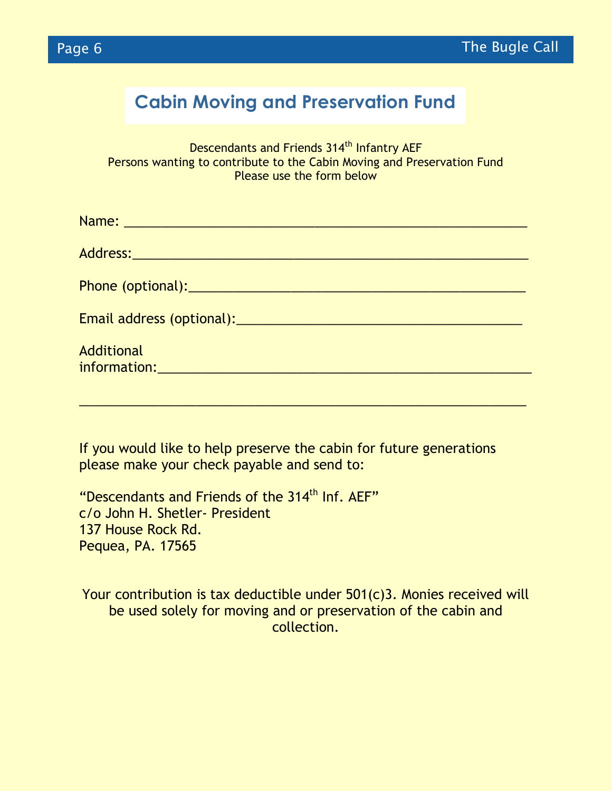

# **Cabin Moving and Preservation Fund**

Descendants and Friends 314<sup>th</sup> Infantry AEF Persons wanting to contribute to the Cabin Moving and Preservation Fund Please use the form below

| Name: 2008 - 2008 - 2008 - 2019 - 2019 - 2019 - 2019 - 2019 - 2019 - 2019 - 2019 - 2019 - 2019 - 2019 - 2019 -                                                                                                                 |
|--------------------------------------------------------------------------------------------------------------------------------------------------------------------------------------------------------------------------------|
|                                                                                                                                                                                                                                |
| Phone (optional): Note that the second contract of the second contract of the second contract of the second contract of the second contract of the second contract of the second contract of the second contract of the second |
|                                                                                                                                                                                                                                |
| <b>Additional</b>                                                                                                                                                                                                              |
|                                                                                                                                                                                                                                |

If you would like to help preserve the cabin for future generations please make your check payable and send to:

"Descendants and Friends of the 314<sup>th</sup> Inf. AEF" c/o John H. Shetler- President 137 House Rock Rd. Pequea, PA. 17565

Your contribution is tax deductible under 501(c)3. Monies received will be used solely for moving and or preservation of the cabin and collection.